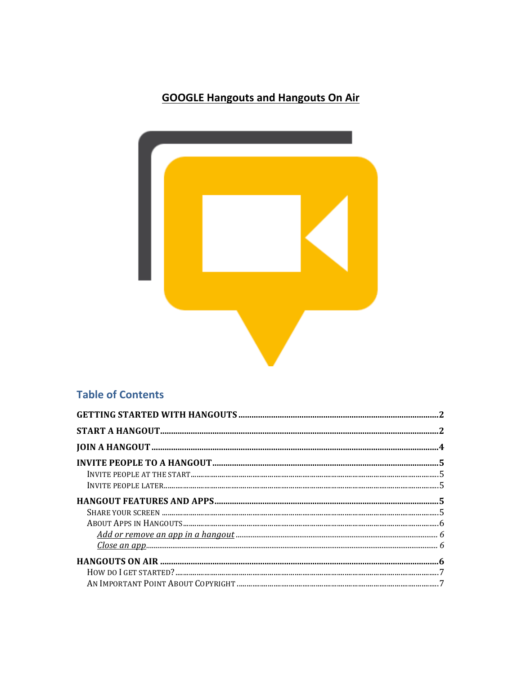# **GOOGLE Hangouts and Hangouts On Air**



# **Table of Contents**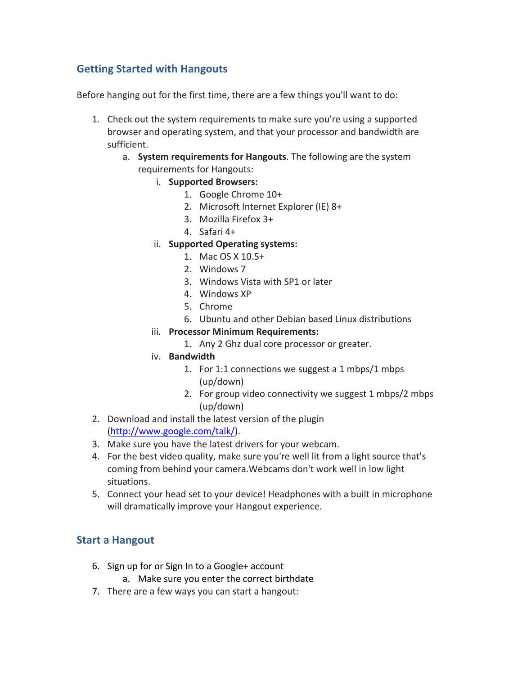# **Getting!Started!with!Hangouts**

Before hanging out for the first time, there are a few things you'll want to do:

- 1. Check out the system requirements to make sure you're using a supported browser and operating system, and that your processor and bandwidth are sufficient.
	- a. **System requirements for Hangouts**. The following are the system requirements for Hangouts:
		- i. **Supported!Browsers:**
			- 1. Google Chrome 10+
			- 2. Microsoft Internet Explorer (IE) 8+
			- 3. Mozilla Firefox 3+
			- 4. Safari 4+
		- ii. **Supported Operating systems:** 
			- 1. Mac OS  $X$  10.5+
			- 2. Windows 7
			- 3. Windows Vista with SP1 or later
			- 4. Windows XP
			- 5. Chrome
			- 6. Ubuntu and other Debian based Linux distributions
		- iii. **Processor Minimum Requirements:** 
			- 1. Any 2 Ghz dual core processor or greater.
		- iv. **Bandwidth**
			- 1. For 1:1 connections we suggest a 1 mbps/1 mbps (up/down)
			- 2. For group video connectivity we suggest 1 mbps/2 mbps (up/down)
- 2. Download and install the latest version of the plugin (http://www.google.com/talk/).!
- 3. Make sure you have the latest drivers for your webcam.
- 4. For the best video quality, make sure you're well lit from a light source that's coming from behind your camera. Webcams don't work well in low light situations.
- 5. Connect your head set to your device! Headphones with a built in microphone will dramatically improve your Hangout experience.

# **Start a Hangout**

- 6. Sign up for or Sign In to a Google+ account
	- a. Make sure you enter the correct birthdate
- 7. There are a few ways you can start a hangout: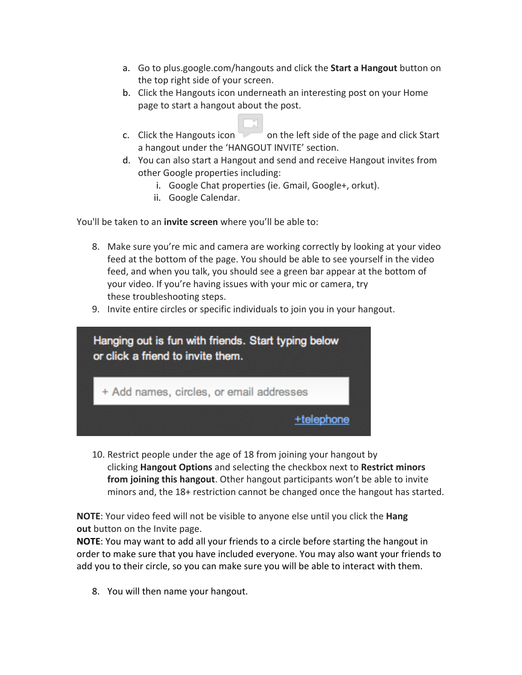- a. Go to plus.google.com/hangouts and click the **Start a Hangout** button on the top right side of your screen.
- b. Click the Hangouts icon underneath an interesting post on your Home page to start a hangout about the post.
- c. Click the Hangouts icon on the left side of the page and click Start a hangout under the 'HANGOUT INVITE' section.
- d. You can also start a Hangout and send and receive Hangout invites from other Google properties including:
	- i. Google Chat properties (ie. Gmail, Google+, orkut).
	- ii. Google Calendar.

You'll be taken to an **invite screen** where you'll be able to:

- 8. Make sure you're mic and camera are working correctly by looking at your video feed at the bottom of the page. You should be able to see yourself in the video feed, and when you talk, you should see a green bar appear at the bottom of your video. If you're having issues with your mic or camera, try these troubleshooting steps.
- 9. Invite entire circles or specific individuals to join you in your hangout.



10. Restrict people under the age of 18 from joining your hangout by **clicking Hangout Options** and selecting the checkbox next to Restrict minors **from joining this hangout**. Other hangout participants won't be able to invite minors and, the 18+ restriction cannot be changed once the hangout has started.

**NOTE:** Your video feed will not be visible to anyone else until you click the **Hang out** button on the Invite page.

**NOTE:** You may want to add all your friends to a circle before starting the hangout in order to make sure that you have included everyone. You may also want your friends to add you to their circle, so you can make sure you will be able to interact with them.

8. You will then name your hangout.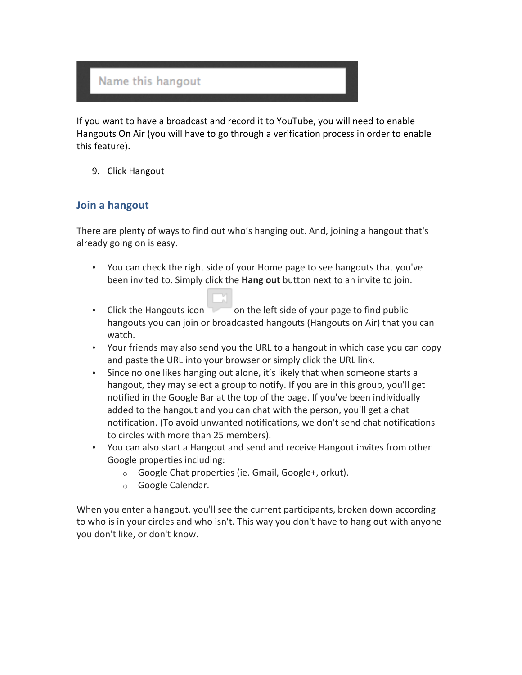# Name this hangout

If you want to have a broadcast and record it to YouTube, you will need to enable Hangouts On Air (you will have to go through a verification process in order to enable this feature).

9. Click Hangout

# **Join a hangout**

There are plenty of ways to find out who's hanging out. And, joining a hangout that's already going on is easy.

- You can check the right side of your Home page to see hangouts that you've been invited to. Simply click the **Hang out** button next to an invite to join.
- Click the Hangouts icon  $\Box$  on the left side of your page to find public hangouts you can join or broadcasted hangouts (Hangouts on Air) that you can watch.
- Your friends may also send you the URL to a hangout in which case you can copy and paste the URL into your browser or simply click the URL link.
- Since no one likes hanging out alone, it's likely that when someone starts a hangout, they may select a group to notify. If you are in this group, you'll get notified in the Google Bar at the top of the page. If you've been individually added to the hangout and you can chat with the person, you'll get a chat notification. (To avoid unwanted notifications, we don't send chat notifications to circles with more than 25 members).
- You can also start a Hangout and send and receive Hangout invites from other Google properties including:
	- $\circ$  Google Chat properties (ie. Gmail, Google+, orkut).
	- o Google Calendar.

When you enter a hangout, you'll see the current participants, broken down according to who is in your circles and who isn't. This way you don't have to hang out with anyone you don't like, or don't know.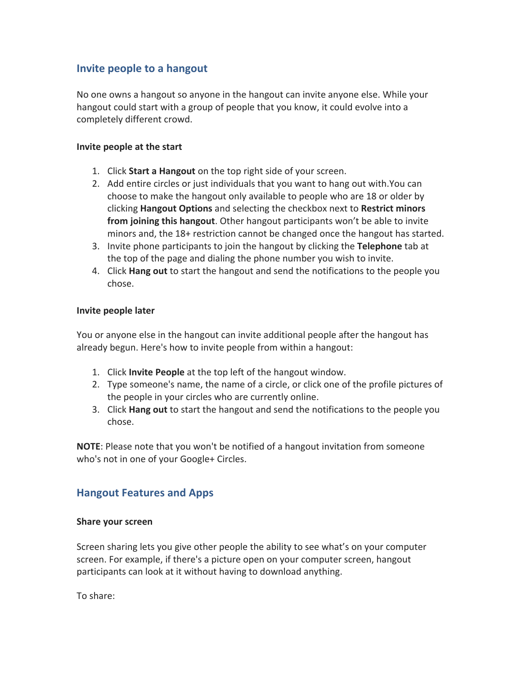# **Invite people to a hangout**

No one owns a hangout so anyone in the hangout can invite anyone else. While your hangout could start with a group of people that you know, it could evolve into a completely different crowd.

#### **Invite people at the start**

- 1. Click **Start a Hangout** on the top right side of your screen.
- 2. Add entire circles or just individuals that you want to hang out with.You can choose to make the hangout only available to people who are 18 or older by **clicking Hangout Options** and selecting the checkbox next to Restrict minors **from joining this hangout**. Other hangout participants won't be able to invite minors and, the 18+ restriction cannot be changed once the hangout has started.
- 3. Invite phone participants to join the hangout by clicking the **Telephone** tab at the top of the page and dialing the phone number you wish to invite.
- 4. Click **Hang out** to start the hangout and send the notifications to the people you chose.

#### **Invite!people!later**

You or anyone else in the hangout can invite additional people after the hangout has already begun. Here's how to invite people from within a hangout:

- 1. Click **Invite People** at the top left of the hangout window.
- 2. Type someone's name, the name of a circle, or click one of the profile pictures of the people in your circles who are currently online.
- 3. Click **Hang out** to start the hangout and send the notifications to the people you chose.

**NOTE**: Please note that you won't be notified of a hangout invitation from someone who's not in one of your Google+ Circles.

# **Hangout Features and Apps**

#### **Share your screen**

Screen sharing lets you give other people the ability to see what's on your computer screen. For example, if there's a picture open on your computer screen, hangout participants can look at it without having to download anything.

To share: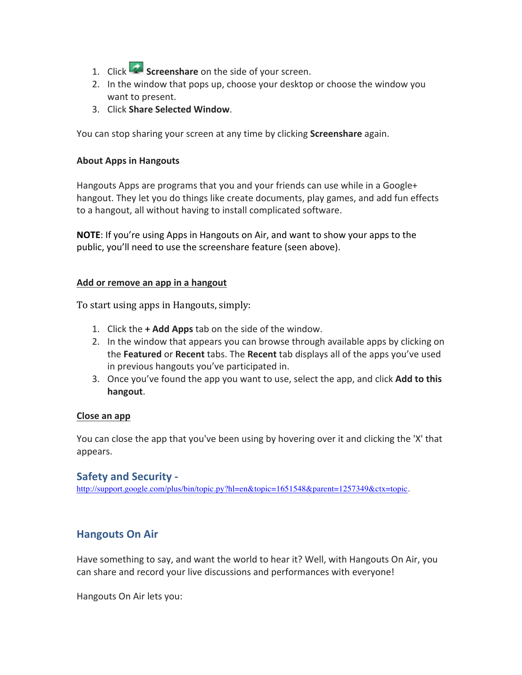- 1. Click **Screenshare** on the side of your screen.
- 2. In the window that pops up, choose your desktop or choose the window you want to present.
- 3. Click **Share!Selected!Window**.

You can stop sharing your screen at any time by clicking **Screenshare** again.

#### **About Apps in Hangouts**

Hangouts Apps are programs that you and your friends can use while in a Google+ hangout. They let you do things like create documents, play games, and add fun effects to a hangout, all without having to install complicated software.

**NOTE:** If you're using Apps in Hangouts on Air, and want to show your apps to the public, you'll need to use the screenshare feature (seen above).

#### Add or remove an app in a hangout

To start using apps in Hangouts, simply:

- 1. Click the **+ Add Apps** tab on the side of the window.
- 2. In the window that appears you can browse through available apps by clicking on the **Featured** or **Recent** tabs. The **Recent** tab displays all of the apps you've used in previous hangouts you've participated in.
- 3. Once you've found the app you want to use, select the app, and click Add to this **hangout**.

#### **Close!an!app**

You can close the app that you've been using by hovering over it and clicking the 'X' that appears.

## **Safety and Security -**

http://support.google.com/plus/bin/topic.py?hl=en&topic=1651548&parent=1257349&ctx=topic.

# **Hangouts On Air**

Have something to say, and want the world to hear it? Well, with Hangouts On Air, you can share and record your live discussions and performances with everyone!

Hangouts On Air lets you: